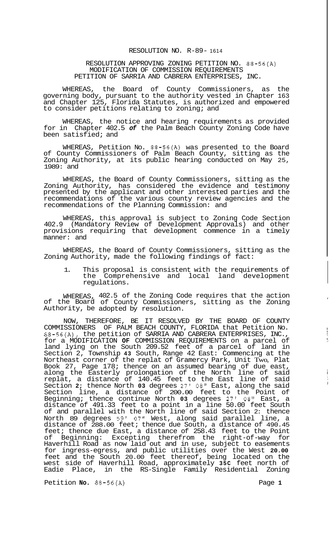## RESOLUTION NO. R-89- <sup>1614</sup>

## RESOLUTION APPROVING ZONING PETITION NO. 88-56(A) MODIFICATION OF COMMISSION REQUIREMENTS PETITION OF SARRIA AND CABRERA ENTERPRISES, INC.

WHEREAS, the Board of County Commissioners, as the governing body, pursuant to the authority vested in Chapter 163 and Chapter 125, Florida Statutes, is authorized and empowered to consider petitions relating to zoning; and

WHEREAS, the notice and hearing requirements as provided for in Chapter 402.5 *of* the Palm Beach County Zoning Code have been satisfied; and

WHEREAS, Petition No. 88-56(A) was presented to the Board of County Commissioners of Palm Beach County, sitting as the Zoning Authority, at its public hearing conducted on May 25, 1989: and

WHEREAS, the Board of County Commissioners, sitting as the Zoning Authority, has considered the evidence and testimony presented by the applicant and other interested parties and the recommendations of the various county review agencies and the recommendations of the Planning Commission: and

WHEREAS, this approval is subject to Zoning Code Section 402.9 (Mandatory Review of Development Approvals) and other provisions requiring that development commence in a timely manner: and

WHEREAS, the Board of County Commissioners, sitting as the Zoning Authority, made the following findings of fact:

1. This proposal is consistent with the requirements of<br>the Comprehensive and local land development Comprehensive and local land development regulations.

WHEREAS, 402.5 of the Zoning Code requires that the action of the Board of County Commissioners, sitting as the Zoning Authority, be adopted  $b$ y resolution.

NOW, THEREFORE, BE IT RESOLVED BY THE BOARD OF COUNTY COMMISSIONERS OF PALM BEACH COUNTY, FLORIDA that Petition No. 88-56(A), the petition of SARRIA AND CABRERA ENTERPRISES, INC., for a MODIFICATION **OF** COMMISSION REQUIREMENTS on a parcel of land lying on the South 209.52 feet of a parcel of land in Section 2, Township **43** South, Range 42 East: Commencing at the Northeast corner of the replat of Gramercy Park, Unit Two, Plat Book 27, Page 178; thence on an assumed bearing of due east, along the Easterly prolongation of the North line of said replat, a distance of 140.45 feet to the East line of said Section **2;** thence North **03** degrees 27' 08" East, along the said Section line, a distance of 200.00 feet to the Point of Beginning; thence continue North **03** degrees 27' 08" East, a distance of 491.33 feet to a point in a line 50.00 feet South of and parallel with the North line of said Section 2: thence North 89 degrees 59' *07"* West, along said parallel line, a distance of 288.00 feet; thence due South, a distance of 490.45 feet; thence due East, a distance of 258.43 feet to the Point of Beginning: Excepting therefrom the right-of-way for Haverhill Road as now laid out and in use, subject to easements for ingress-egress, and public utilities over the West **20.00**  feet and the South 20.00 feet thereof, being located on the west side of Haverhill Road, approximately **35C** feet north of Eadie Place, in the RS-Single Family Residential Zoning

Petition **No.**  $88-56(A)$  Page 1

j.